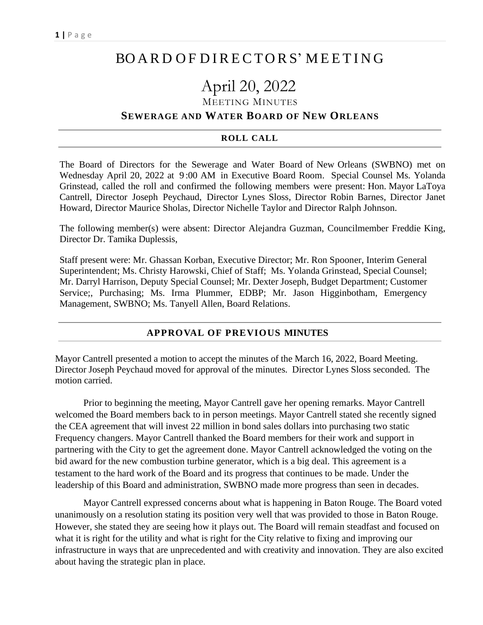## BO A R D O F D I RE CTO RS' M EET I N G

# April 20, 2022

MEETING MINUTES

#### **SEWERAGE AND WATER BOARD OF NEW ORLEANS**

#### **ROLL CALL**

The Board of Directors for the Sewerage and Water Board of New Orleans (SWBNO) met on Wednesday April 20, 2022 at 9 :00 AM in Executive Board Room. Special Counsel Ms. Yolanda Grinstead, called the roll and confirmed the following members were present: Hon. Mayor LaToya Cantrell, Director Joseph Peychaud, Director Lynes Sloss, Director Robin Barnes, Director Janet Howard, Director Maurice Sholas, Director Nichelle Taylor and Director Ralph Johnson.

The following member(s) were absent: Director Alejandra Guzman, Councilmember Freddie King, Director Dr. Tamika Duplessis,

Staff present were: Mr. Ghassan Korban, Executive Director; Mr. Ron Spooner, Interim General Superintendent; Ms. Christy Harowski, Chief of Staff; Ms. Yolanda Grinstead, Special Counsel; Mr. Darryl Harrison, Deputy Special Counsel; Mr. Dexter Joseph, Budget Department; Customer Service;, Purchasing; Ms. Irma Plummer, EDBP; Mr. Jason Higginbotham, Emergency Management, SWBNO; Ms. Tanyell Allen, Board Relations.

#### **APPROVAL OF PREVIOUS MINUTES**

Mayor Cantrell presented a motion to accept the minutes of the March 16, 2022, Board Meeting. Director Joseph Peychaud moved for approval of the minutes. Director Lynes Sloss seconded. The motion carried.

Prior to beginning the meeting, Mayor Cantrell gave her opening remarks. Mayor Cantrell welcomed the Board members back to in person meetings. Mayor Cantrell stated she recently signed the CEA agreement that will invest 22 million in bond sales dollars into purchasing two static Frequency changers. Mayor Cantrell thanked the Board members for their work and support in partnering with the City to get the agreement done. Mayor Cantrell acknowledged the voting on the bid award for the new combustion turbine generator, which is a big deal. This agreement is a testament to the hard work of the Board and its progress that continues to be made. Under the leadership of this Board and administration, SWBNO made more progress than seen in decades.

Mayor Cantrell expressed concerns about what is happening in Baton Rouge. The Board voted unanimously on a resolution stating its position very well that was provided to those in Baton Rouge. However, she stated they are seeing how it plays out. The Board will remain steadfast and focused on what it is right for the utility and what is right for the City relative to fixing and improving our infrastructure in ways that are unprecedented and with creativity and innovation. They are also excited about having the strategic plan in place.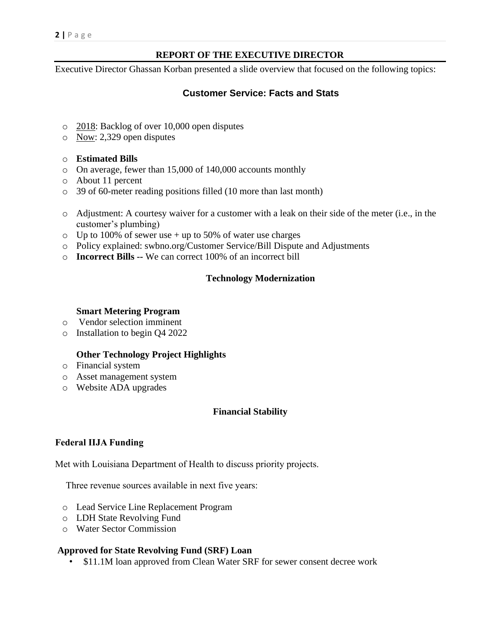## **REPORT OF THE EXECUTIVE DIRECTOR**

Executive Director Ghassan Korban presented a slide overview that focused on the following topics:

## **Customer Service: Facts and Stats**

- o 2018: Backlog of over 10,000 open disputes
- o Now: 2,329 open disputes

#### o **Estimated Bills**

- o On average, fewer than 15,000 of 140,000 accounts monthly
- o About 11 percent
- o 39 of 60-meter reading positions filled (10 more than last month)
- o Adjustment: A courtesy waiver for a customer with a leak on their side of the meter (i.e., in the customer's plumbing)
- $\circ$  Up to 100% of sewer use + up to 50% of water use charges
- o Policy explained: swbno.org/Customer Service/Bill Dispute and Adjustments
- o **Incorrect Bills --** We can correct 100% of an incorrect bill

## **Technology Modernization**

#### **Smart Metering Program**

- o Vendor selection imminent
- o Installation to begin Q4 2022

## **Other Technology Project Highlights**

- o Financial system
- o Asset management system
- o Website ADA upgrades

## **Financial Stability**

## **Federal IIJA Funding**

Met with Louisiana Department of Health to discuss priority projects.

Three revenue sources available in next five years:

- o Lead Service Line Replacement Program
- o LDH State Revolving Fund
- o Water Sector Commission

## **Approved for State Revolving Fund (SRF) Loan**

• \$11.1M loan approved from Clean Water SRF for sewer consent decree work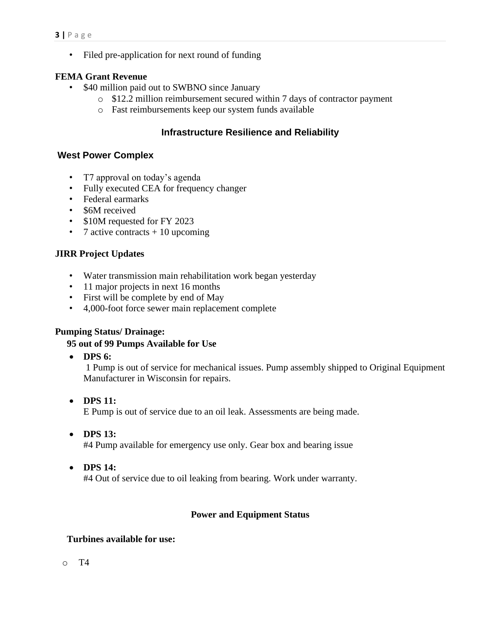• Filed pre-application for next round of funding

#### **FEMA Grant Revenue**

- \$40 million paid out to SWBNO since January
	- o \$12.2 million reimbursement secured within 7 days of contractor payment
	- o Fast reimbursements keep our system funds available

## **Infrastructure Resilience and Reliability**

## **West Power Complex**

- T7 approval on today's agenda
- Fully executed CEA for frequency changer
- Federal earmarks
- \$6M received
- \$10M requested for FY 2023
- 7 active contracts  $+10$  upcoming

## **JIRR Project Updates**

- Water transmission main rehabilitation work began yesterday
- 11 major projects in next 16 months
- First will be complete by end of May
- 4,000-foot force sewer main replacement complete

#### **Pumping Status/ Drainage:**

#### **95 out of 99 Pumps Available for Use**

• **DPS 6:**

1 Pump is out of service for mechanical issues. Pump assembly shipped to Original Equipment Manufacturer in Wisconsin for repairs.

- **DPS 11:** E Pump is out of service due to an oil leak. Assessments are being made.
- **DPS 13:**

#4 Pump available for emergency use only. Gear box and bearing issue

• **DPS 14:**

#4 Out of service due to oil leaking from bearing. Work under warranty.

## **Power and Equipment Status**

#### **Turbines available for use:**

o T4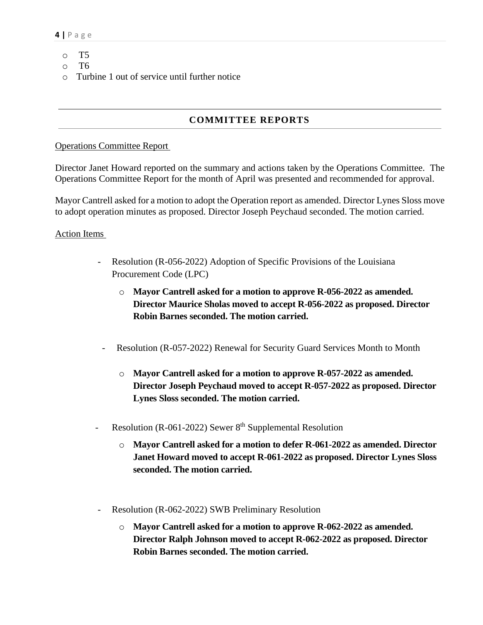- o T5
- o T6
- o Turbine 1 out of service until further notice

## **COMMITTEE REPORTS**

#### Operations Committee Report

Director Janet Howard reported on the summary and actions taken by the Operations Committee. The Operations Committee Report for the month of April was presented and recommended for approval.

Mayor Cantrell asked for a motion to adopt the Operation report as amended. Director Lynes Sloss move to adopt operation minutes as proposed. Director Joseph Peychaud seconded. The motion carried.

#### Action Items

- Resolution (R-056-2022) Adoption of Specific Provisions of the Louisiana Procurement Code (LPC)
	- o **Mayor Cantrell asked for a motion to approve R-056-2022 as amended. Director Maurice Sholas moved to accept R-056-2022 as proposed. Director Robin Barnes seconded. The motion carried.**
	- Resolution (R-057-2022) Renewal for Security Guard Services Month to Month
		- o **Mayor Cantrell asked for a motion to approve R-057-2022 as amended. Director Joseph Peychaud moved to accept R-057-2022 as proposed. Director Lynes Sloss seconded. The motion carried.**
- Resolution (R-061-2022) Sewer 8<sup>th</sup> Supplemental Resolution
	- o **Mayor Cantrell asked for a motion to defer R-061-2022 as amended. Director Janet Howard moved to accept R-061-2022 as proposed. Director Lynes Sloss seconded. The motion carried.**
- Resolution (R-062-2022) SWB Preliminary Resolution
	- o **Mayor Cantrell asked for a motion to approve R-062-2022 as amended. Director Ralph Johnson moved to accept R-062-2022 as proposed. Director Robin Barnes seconded. The motion carried.**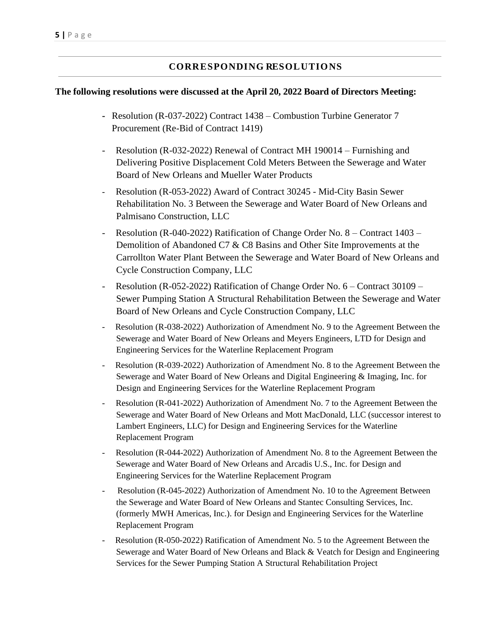## **CORRESPONDING RESOLUTIONS**

#### **The following resolutions were discussed at the April 20, 2022 Board of Directors Meeting:**

- **-** Resolution (R-037-2022) Contract 1438 Combustion Turbine Generator 7 Procurement (Re-Bid of Contract 1419)
- Resolution (R-032-2022) Renewal of Contract MH 190014 Furnishing and Delivering Positive Displacement Cold Meters Between the Sewerage and Water Board of New Orleans and Mueller Water Products
- Resolution (R-053-2022) Award of Contract 30245 Mid-City Basin Sewer Rehabilitation No. 3 Between the Sewerage and Water Board of New Orleans and Palmisano Construction, LLC
- Resolution (R-040-2022) Ratification of Change Order No. 8 Contract 1403 Demolition of Abandoned C7 & C8 Basins and Other Site Improvements at the Carrollton Water Plant Between the Sewerage and Water Board of New Orleans and Cycle Construction Company, LLC
- Resolution (R-052-2022) Ratification of Change Order No. 6 Contract 30109 Sewer Pumping Station A Structural Rehabilitation Between the Sewerage and Water Board of New Orleans and Cycle Construction Company, LLC
- Resolution (R-038-2022) Authorization of Amendment No. 9 to the Agreement Between the Sewerage and Water Board of New Orleans and Meyers Engineers, LTD for Design and Engineering Services for the Waterline Replacement Program
- Resolution (R-039-2022) Authorization of Amendment No. 8 to the Agreement Between the Sewerage and Water Board of New Orleans and Digital Engineering & Imaging, Inc. for Design and Engineering Services for the Waterline Replacement Program
- Resolution (R-041-2022) Authorization of Amendment No. 7 to the Agreement Between the Sewerage and Water Board of New Orleans and Mott MacDonald, LLC (successor interest to Lambert Engineers, LLC) for Design and Engineering Services for the Waterline Replacement Program
- Resolution (R-044-2022) Authorization of Amendment No. 8 to the Agreement Between the Sewerage and Water Board of New Orleans and Arcadis U.S., Inc. for Design and Engineering Services for the Waterline Replacement Program
- Resolution (R-045-2022) Authorization of Amendment No. 10 to the Agreement Between the Sewerage and Water Board of New Orleans and Stantec Consulting Services, Inc. (formerly MWH Americas, Inc.). for Design and Engineering Services for the Waterline Replacement Program
- Resolution (R-050-2022) Ratification of Amendment No. 5 to the Agreement Between the Sewerage and Water Board of New Orleans and Black & Veatch for Design and Engineering Services for the Sewer Pumping Station A Structural Rehabilitation Project